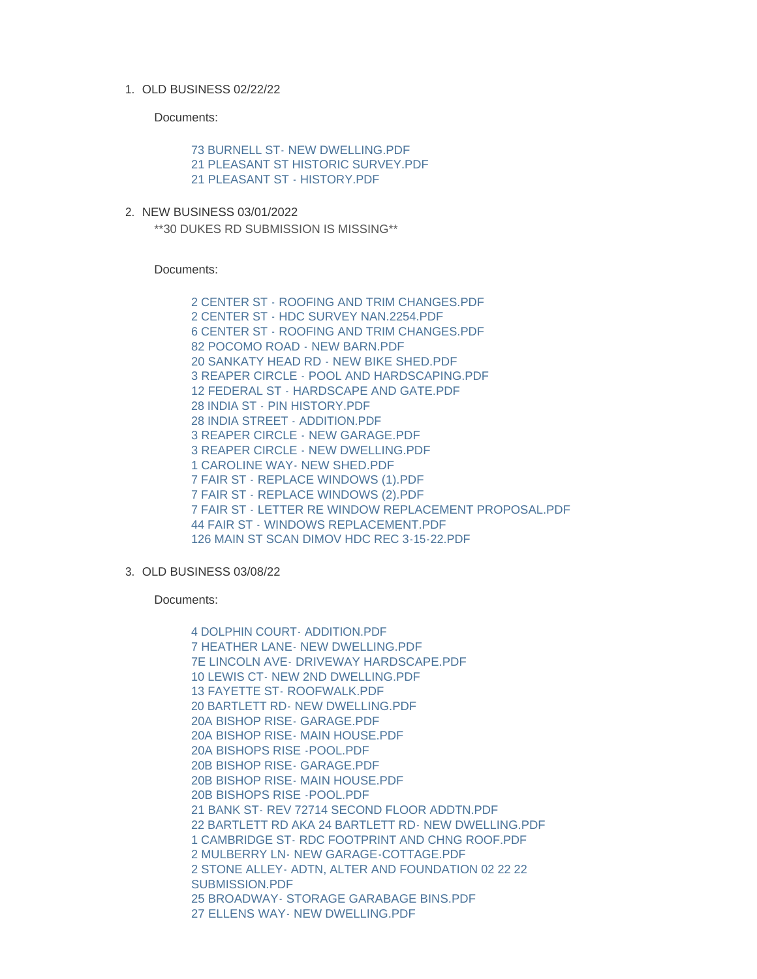## OLD BUSINESS 02/22/22 1.

Documents:

[73 BURNELL ST- NEW DWELLING.PDF](https://www.nantucket-ma.gov/AgendaCenter/ViewFile/Item/4496?fileID=37503) [21 PLEASANT ST HISTORIC SURVEY.PDF](https://www.nantucket-ma.gov/AgendaCenter/ViewFile/Item/4496?fileID=37504) [21 PLEASANT ST - HISTORY.PDF](https://www.nantucket-ma.gov/AgendaCenter/ViewFile/Item/4496?fileID=37505)

2. NEW BUSINESS 03/01/2022 \*\*30 DUKES RD SUBMISSION IS MISSING\*\*

Documents:

[2 CENTER ST - ROOFING AND TRIM CHANGES.PDF](https://www.nantucket-ma.gov/AgendaCenter/ViewFile/Item/4497?fileID=37506) [2 CENTER ST - HDC SURVEY NAN.2254.PDF](https://www.nantucket-ma.gov/AgendaCenter/ViewFile/Item/4497?fileID=37507) [6 CENTER ST - ROOFING AND TRIM CHANGES.PDF](https://www.nantucket-ma.gov/AgendaCenter/ViewFile/Item/4497?fileID=37508) [82 POCOMO ROAD - NEW BARN.PDF](https://www.nantucket-ma.gov/AgendaCenter/ViewFile/Item/4497?fileID=37509) [20 SANKATY HEAD RD - NEW BIKE SHED.PDF](https://www.nantucket-ma.gov/AgendaCenter/ViewFile/Item/4497?fileID=37510) [3 REAPER CIRCLE - POOL AND HARDSCAPING.PDF](https://www.nantucket-ma.gov/AgendaCenter/ViewFile/Item/4497?fileID=37511) [12 FEDERAL ST - HARDSCAPE AND GATE.PDF](https://www.nantucket-ma.gov/AgendaCenter/ViewFile/Item/4497?fileID=37512) [28 INDIA ST - PIN HISTORY.PDF](https://www.nantucket-ma.gov/AgendaCenter/ViewFile/Item/4497?fileID=37513) [28 INDIA STREET - ADDITION.PDF](https://www.nantucket-ma.gov/AgendaCenter/ViewFile/Item/4497?fileID=37514) [3 REAPER CIRCLE - NEW GARAGE.PDF](https://www.nantucket-ma.gov/AgendaCenter/ViewFile/Item/4497?fileID=37515) [3 REAPER CIRCLE - NEW DWELLING.PDF](https://www.nantucket-ma.gov/AgendaCenter/ViewFile/Item/4497?fileID=37516) [1 CAROLINE WAY- NEW SHED.PDF](https://www.nantucket-ma.gov/AgendaCenter/ViewFile/Item/4497?fileID=37517) [7 FAIR ST - REPLACE WINDOWS \(1\).PDF](https://www.nantucket-ma.gov/AgendaCenter/ViewFile/Item/4497?fileID=37518) [7 FAIR ST - REPLACE WINDOWS \(2\).PDF](https://www.nantucket-ma.gov/AgendaCenter/ViewFile/Item/4497?fileID=37519) [7 FAIR ST - LETTER RE WINDOW REPLACEMENT PROPOSAL.PDF](https://www.nantucket-ma.gov/AgendaCenter/ViewFile/Item/4497?fileID=37520) [44 FAIR ST - WINDOWS REPLACEMENT.PDF](https://www.nantucket-ma.gov/AgendaCenter/ViewFile/Item/4497?fileID=37521) [126 MAIN ST SCAN DIMOV HDC REC 3-15-22.PDF](https://www.nantucket-ma.gov/AgendaCenter/ViewFile/Item/4497?fileID=37522)

## OLD BUSINESS 03/08/22 3.

Documents:

[4 DOLPHIN COURT- ADDITION.PDF](https://www.nantucket-ma.gov/AgendaCenter/ViewFile/Item/4498?fileID=37523) [7 HEATHER LANE- NEW DWELLING.PDF](https://www.nantucket-ma.gov/AgendaCenter/ViewFile/Item/4498?fileID=37524) [7E LINCOLN AVE- DRIVEWAY HARDSCAPE.PDF](https://www.nantucket-ma.gov/AgendaCenter/ViewFile/Item/4498?fileID=37525) [10 LEWIS CT- NEW 2ND DWELLING.PDF](https://www.nantucket-ma.gov/AgendaCenter/ViewFile/Item/4498?fileID=37526) [13 FAYETTE ST- ROOFWALK.PDF](https://www.nantucket-ma.gov/AgendaCenter/ViewFile/Item/4498?fileID=37527) [20 BARTLETT RD- NEW DWELLING.PDF](https://www.nantucket-ma.gov/AgendaCenter/ViewFile/Item/4498?fileID=37528) [20A BISHOP RISE- GARAGE.PDF](https://www.nantucket-ma.gov/AgendaCenter/ViewFile/Item/4498?fileID=37529) [20A BISHOP RISE- MAIN HOUSE.PDF](https://www.nantucket-ma.gov/AgendaCenter/ViewFile/Item/4498?fileID=37530) [20A BISHOPS RISE -POOL.PDF](https://www.nantucket-ma.gov/AgendaCenter/ViewFile/Item/4498?fileID=37531) [20B BISHOP RISE- GARAGE.PDF](https://www.nantucket-ma.gov/AgendaCenter/ViewFile/Item/4498?fileID=37532) [20B BISHOP RISE- MAIN HOUSE.PDF](https://www.nantucket-ma.gov/AgendaCenter/ViewFile/Item/4498?fileID=37533) [20B BISHOPS RISE -POOL.PDF](https://www.nantucket-ma.gov/AgendaCenter/ViewFile/Item/4498?fileID=37534) [21 BANK ST- REV 72714 SECOND FLOOR ADDTN.PDF](https://www.nantucket-ma.gov/AgendaCenter/ViewFile/Item/4498?fileID=37535) [22 BARTLETT RD AKA 24 BARTLETT RD- NEW DWELLING.PDF](https://www.nantucket-ma.gov/AgendaCenter/ViewFile/Item/4498?fileID=37536) 1 CAMBRIDGE ST- RDC FOOTPRINT AND CHNG ROOF PDF [2 MULBERRY LN- NEW GARAGE-COTTAGE.PDF](https://www.nantucket-ma.gov/AgendaCenter/ViewFile/Item/4498?fileID=37538) [2 STONE ALLEY- ADTN, ALTER AND FOUNDATION 02 22 22](https://www.nantucket-ma.gov/AgendaCenter/ViewFile/Item/4498?fileID=37539)  SUBMISSION.PDF [25 BROADWAY- STORAGE GARABAGE BINS.PDF](https://www.nantucket-ma.gov/AgendaCenter/ViewFile/Item/4498?fileID=37540) [27 ELLENS WAY- NEW DWELLING.PDF](https://www.nantucket-ma.gov/AgendaCenter/ViewFile/Item/4498?fileID=37541)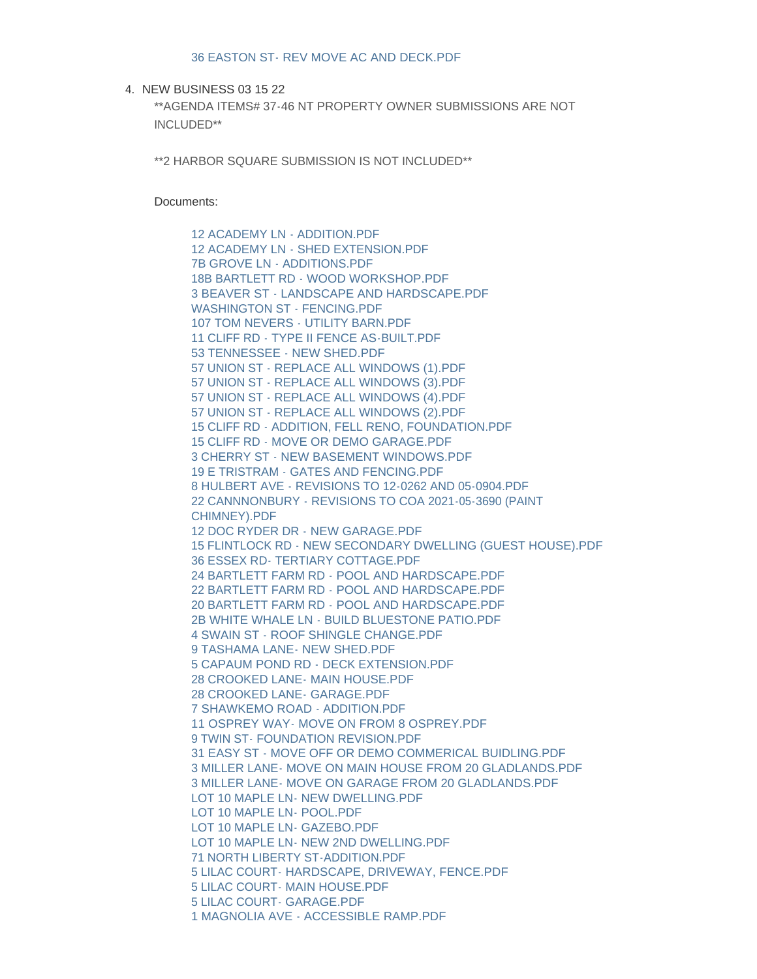4. NEW BUSINESS 03 15 22

\*\*AGENDA ITEMS# 37-46 NT PROPERTY OWNER SUBMISSIONS ARE NOT INCLUDED\*\*

\*\*2 HARBOR SQUARE SUBMISSION IS NOT INCLUDED\*\*

Documents:

[12 ACADEMY LN - ADDITION.PDF](https://www.nantucket-ma.gov/AgendaCenter/ViewFile/Item/4499?fileID=37543) [12 ACADEMY LN - SHED EXTENSION.PDF](https://www.nantucket-ma.gov/AgendaCenter/ViewFile/Item/4499?fileID=37544) [7B GROVE LN - ADDITIONS.PDF](https://www.nantucket-ma.gov/AgendaCenter/ViewFile/Item/4499?fileID=37545) 18B BARTLETT RD - WOOD WORKSHOP PDF [3 BEAVER ST - LANDSCAPE AND HARDSCAPE.PDF](https://www.nantucket-ma.gov/AgendaCenter/ViewFile/Item/4499?fileID=37547) [WASHINGTON ST - FENCING.PDF](https://www.nantucket-ma.gov/AgendaCenter/ViewFile/Item/4499?fileID=37548) [107 TOM NEVERS - UTILITY BARN.PDF](https://www.nantucket-ma.gov/AgendaCenter/ViewFile/Item/4499?fileID=37549) [11 CLIFF RD - TYPE II FENCE AS-BUILT.PDF](https://www.nantucket-ma.gov/AgendaCenter/ViewFile/Item/4499?fileID=37550) [53 TENNESSEE - NEW SHED.PDF](https://www.nantucket-ma.gov/AgendaCenter/ViewFile/Item/4499?fileID=37551) [57 UNION ST - REPLACE ALL WINDOWS \(1\).PDF](https://www.nantucket-ma.gov/AgendaCenter/ViewFile/Item/4499?fileID=37552) [57 UNION ST - REPLACE ALL WINDOWS \(3\).PDF](https://www.nantucket-ma.gov/AgendaCenter/ViewFile/Item/4499?fileID=37553) [57 UNION ST - REPLACE ALL WINDOWS \(4\).PDF](https://www.nantucket-ma.gov/AgendaCenter/ViewFile/Item/4499?fileID=37554) [57 UNION ST - REPLACE ALL WINDOWS \(2\).PDF](https://www.nantucket-ma.gov/AgendaCenter/ViewFile/Item/4499?fileID=37555) [15 CLIFF RD - ADDITION, FELL RENO, FOUNDATION.PDF](https://www.nantucket-ma.gov/AgendaCenter/ViewFile/Item/4499?fileID=37556) [15 CLIFF RD - MOVE OR DEMO GARAGE.PDF](https://www.nantucket-ma.gov/AgendaCenter/ViewFile/Item/4499?fileID=37557) [3 CHERRY ST - NEW BASEMENT WINDOWS.PDF](https://www.nantucket-ma.gov/AgendaCenter/ViewFile/Item/4499?fileID=37558) [19 E TRISTRAM - GATES AND FENCING.PDF](https://www.nantucket-ma.gov/AgendaCenter/ViewFile/Item/4499?fileID=37559) [8 HULBERT AVE - REVISIONS TO 12-0262 AND 05-0904.PDF](https://www.nantucket-ma.gov/AgendaCenter/ViewFile/Item/4499?fileID=37560) [22 CANNNONBURY - REVISIONS TO COA 2021-05-3690 \(PAINT](https://www.nantucket-ma.gov/AgendaCenter/ViewFile/Item/4499?fileID=37561)  CHIMNEY).PDF [12 DOC RYDER DR - NEW GARAGE.PDF](https://www.nantucket-ma.gov/AgendaCenter/ViewFile/Item/4499?fileID=37562) [15 FLINTLOCK RD - NEW SECONDARY DWELLING \(GUEST HOUSE\).PDF](https://www.nantucket-ma.gov/AgendaCenter/ViewFile/Item/4499?fileID=37563) [36 ESSEX RD- TERTIARY COTTAGE.PDF](https://www.nantucket-ma.gov/AgendaCenter/ViewFile/Item/4499?fileID=37564) [24 BARTLETT FARM RD - POOL AND HARDSCAPE.PDF](https://www.nantucket-ma.gov/AgendaCenter/ViewFile/Item/4499?fileID=37565) [22 BARTLETT FARM RD - POOL AND HARDSCAPE.PDF](https://www.nantucket-ma.gov/AgendaCenter/ViewFile/Item/4499?fileID=37566) [20 BARTLETT FARM RD - POOL AND HARDSCAPE.PDF](https://www.nantucket-ma.gov/AgendaCenter/ViewFile/Item/4499?fileID=37567) [2B WHITE WHALE LN - BUILD BLUESTONE PATIO.PDF](https://www.nantucket-ma.gov/AgendaCenter/ViewFile/Item/4499?fileID=37568) [4 SWAIN ST - ROOF SHINGLE CHANGE.PDF](https://www.nantucket-ma.gov/AgendaCenter/ViewFile/Item/4499?fileID=37569) [9 TASHAMA LANE- NEW SHED.PDF](https://www.nantucket-ma.gov/AgendaCenter/ViewFile/Item/4499?fileID=37570) [5 CAPAUM POND RD - DECK EXTENSION.PDF](https://www.nantucket-ma.gov/AgendaCenter/ViewFile/Item/4499?fileID=37571) [28 CROOKED LANE- MAIN HOUSE.PDF](https://www.nantucket-ma.gov/AgendaCenter/ViewFile/Item/4499?fileID=37572) [28 CROOKED LANE- GARAGE.PDF](https://www.nantucket-ma.gov/AgendaCenter/ViewFile/Item/4499?fileID=37573) [7 SHAWKEMO ROAD - ADDITION.PDF](https://www.nantucket-ma.gov/AgendaCenter/ViewFile/Item/4499?fileID=37574) [11 OSPREY WAY- MOVE ON FROM 8 OSPREY.PDF](https://www.nantucket-ma.gov/AgendaCenter/ViewFile/Item/4499?fileID=37575) 9 TWIN ST- FOUNDATION REVISION PDF [31 EASY ST - MOVE OFF OR DEMO COMMERICAL BUIDLING.PDF](https://www.nantucket-ma.gov/AgendaCenter/ViewFile/Item/4499?fileID=37577) [3 MILLER LANE- MOVE ON MAIN HOUSE FROM 20 GLADLANDS.PDF](https://www.nantucket-ma.gov/AgendaCenter/ViewFile/Item/4499?fileID=37578) [3 MILLER LANE- MOVE ON GARAGE FROM 20 GLADLANDS.PDF](https://www.nantucket-ma.gov/AgendaCenter/ViewFile/Item/4499?fileID=37579) [LOT 10 MAPLE LN- NEW DWELLING.PDF](https://www.nantucket-ma.gov/AgendaCenter/ViewFile/Item/4499?fileID=37580) [LOT 10 MAPLE LN- POOL.PDF](https://www.nantucket-ma.gov/AgendaCenter/ViewFile/Item/4499?fileID=37581) [LOT 10 MAPLE LN- GAZEBO.PDF](https://www.nantucket-ma.gov/AgendaCenter/ViewFile/Item/4499?fileID=37582) [LOT 10 MAPLE LN- NEW 2ND DWELLING.PDF](https://www.nantucket-ma.gov/AgendaCenter/ViewFile/Item/4499?fileID=37583) [71 NORTH LIBERTY ST-ADDITION.PDF](https://www.nantucket-ma.gov/AgendaCenter/ViewFile/Item/4499?fileID=37584) [5 LILAC COURT- HARDSCAPE, DRIVEWAY, FENCE.PDF](https://www.nantucket-ma.gov/AgendaCenter/ViewFile/Item/4499?fileID=37585) [5 LILAC COURT- MAIN HOUSE.PDF](https://www.nantucket-ma.gov/AgendaCenter/ViewFile/Item/4499?fileID=37586) [5 LILAC COURT- GARAGE.PDF](https://www.nantucket-ma.gov/AgendaCenter/ViewFile/Item/4499?fileID=37587) [1 MAGNOLIA AVE - ACCESSIBLE RAMP.PDF](https://www.nantucket-ma.gov/AgendaCenter/ViewFile/Item/4499?fileID=37588)